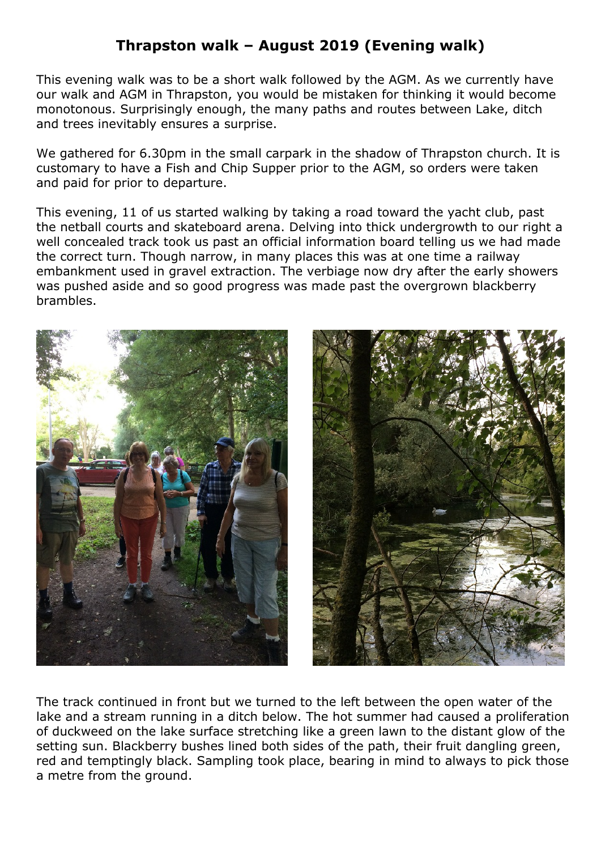## **Thrapston walk – August 2019 (Evening walk)**

This evening walk was to be a short walk followed by the AGM. As we currently have our walk and AGM in Thrapston, you would be mistaken for thinking it would become monotonous. Surprisingly enough, the many paths and routes between Lake, ditch and trees inevitably ensures a surprise.

We gathered for 6.30pm in the small carpark in the shadow of Thrapston church. It is customary to have a Fish and Chip Supper prior to the AGM, so orders were taken and paid for prior to departure.

This evening, 11 of us started walking by taking a road toward the yacht club, past the netball courts and skateboard arena. Delving into thick undergrowth to our right a well concealed track took us past an official information board telling us we had made the correct turn. Though narrow, in many places this was at one time a railway embankment used in gravel extraction. The verbiage now dry after the early showers was pushed aside and so good progress was made past the overgrown blackberry brambles.





The track continued in front but we turned to the left between the open water of the lake and a stream running in a ditch below. The hot summer had caused a proliferation of duckweed on the lake surface stretching like a green lawn to the distant glow of the setting sun. Blackberry bushes lined both sides of the path, their fruit dangling green, red and temptingly black. Sampling took place, bearing in mind to always to pick those a metre from the ground.